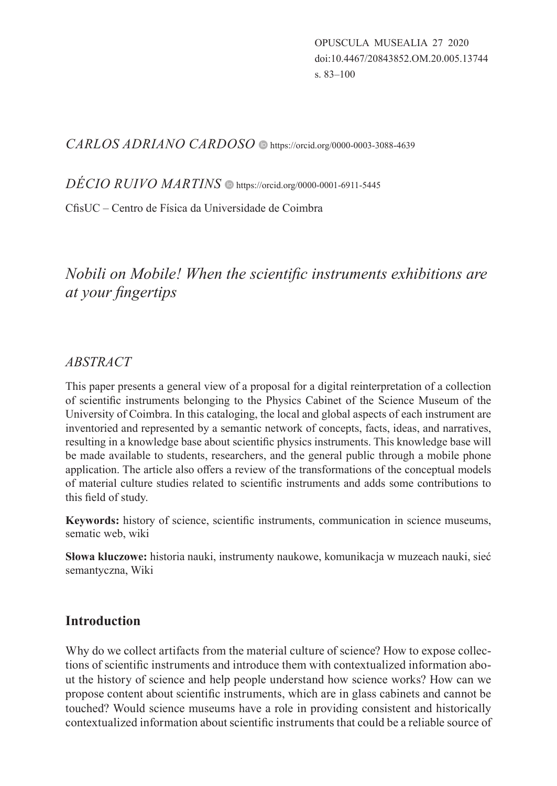*CARLOS ADRIANO CARDOSO*  https://orcid.org/0000-0003-3088-4639

*DÉCIO RUIVO MARTINS*  https://orcid.org/0000-0001-6911-5445

CfisUC ‒ Centro de Física da Universidade de Coimbra

# *Nobili on Mobile! When the scientific instruments exhibitions are at your fingertips*

### *ABSTRACT*

This paper presents a general view of a proposal for a digital reinterpretation of a collection of scientific instruments belonging to the Physics Cabinet of the Science Museum of the University of Coimbra. In this cataloging, the local and global aspects of each instrument are inventoried and represented by a semantic network of concepts, facts, ideas, and narratives, resulting in a knowledge base about scientific physics instruments. This knowledge base will be made available to students, researchers, and the general public through a mobile phone application. The article also offers a review of the transformations of the conceptual models of material culture studies related to scientific instruments and adds some contributions to this field of study.

**Keywords:** history of science, scientific instruments, communication in science museums, sematic web, wiki

**Słowa kluczowe:** historia nauki, instrumenty naukowe, komunikacja w muzeach nauki, sieć semantyczna, Wiki

## **Introduction**

Why do we collect artifacts from the material culture of science? How to expose collections of scientific instruments and introduce them with contextualized information about the history of science and help people understand how science works? How can we propose content about scientific instruments, which are in glass cabinets and cannot be touched? Would science museums have a role in providing consistent and historically contextualized information about scientific instruments that could be a reliable source of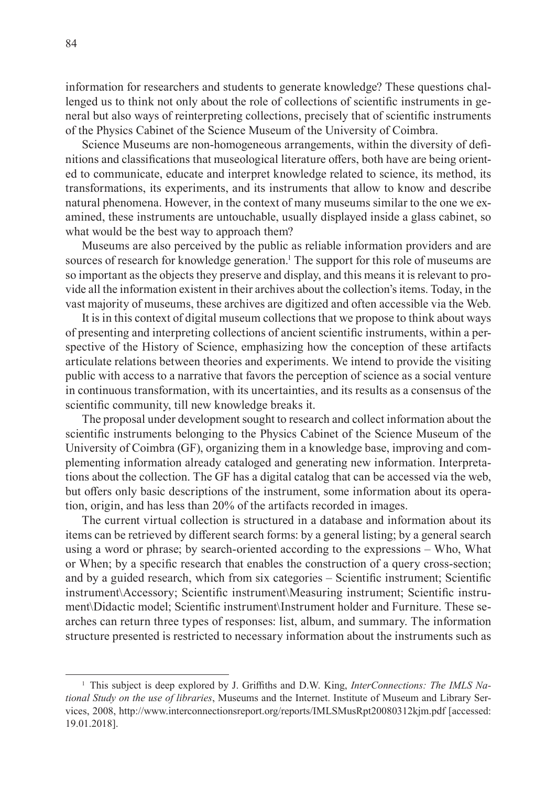information for researchers and students to generate knowledge? These questions challenged us to think not only about the role of collections of scientific instruments in general but also ways of reinterpreting collections, precisely that of scientific instruments of the Physics Cabinet of the Science Museum of the University of Coimbra.

Science Museums are non-homogeneous arrangements, within the diversity of definitions and classifications that museological literature offers, both have are being oriented to communicate, educate and interpret knowledge related to science, its method, its transformations, its experiments, and its instruments that allow to know and describe natural phenomena. However, in the context of many museums similar to the one we examined, these instruments are untouchable, usually displayed inside a glass cabinet, so what would be the best way to approach them?

Museums are also perceived by the public as reliable information providers and are sources of research for knowledge generation.<sup>1</sup> The support for this role of museums are so important as the objects they preserve and display, and this means it is relevant to provide all the information existent in their archives about the collection's items. Today, in the vast majority of museums, these archives are digitized and often accessible via the Web.

It is in this context of digital museum collections that we propose to think about ways of presenting and interpreting collections of ancient scientific instruments, within a perspective of the History of Science, emphasizing how the conception of these artifacts articulate relations between theories and experiments. We intend to provide the visiting public with access to a narrative that favors the perception of science as a social venture in continuous transformation, with its uncertainties, and its results as a consensus of the scientific community, till new knowledge breaks it.

The proposal under development sought to research and collect information about the scientific instruments belonging to the Physics Cabinet of the Science Museum of the University of Coimbra (GF), organizing them in a knowledge base, improving and complementing information already cataloged and generating new information. Interpretations about the collection. The GF has a digital catalog that can be accessed via the web, but offers only basic descriptions of the instrument, some information about its operation, origin, and has less than 20% of the artifacts recorded in images.

The current virtual collection is structured in a database and information about its items can be retrieved by different search forms: by a general listing; by a general search using a word or phrase; by search-oriented according to the expressions – Who, What or When; by a specific research that enables the construction of a query cross-section; and by a guided research, which from six categories – Scientific instrument; Scientific instrument\Accessory; Scientific instrument\Measuring instrument; Scientific instrument\Didactic model; Scientific instrument\Instrument holder and Furniture. These searches can return three types of responses: list, album, and summary. The information structure presented is restricted to necessary information about the instruments such as

<sup>1</sup> This subject is deep explored by J. Griffiths and D.W. King, *InterConnections: The IMLS National Study on the use of libraries*, Museums and the Internet. Institute of Museum and Library Services, 2008, http://www.interconnectionsreport.org/reports/IMLSMusRpt20080312kjm.pdf [accessed: 19.01.2018].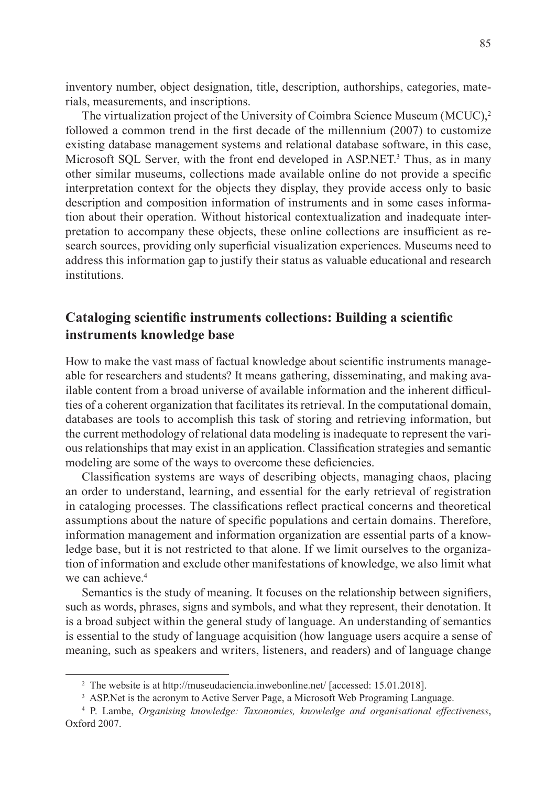inventory number, object designation, title, description, authorships, categories, materials, measurements, and inscriptions.

The virtualization project of the University of Coimbra Science Museum (MCUC),<sup>2</sup> followed a common trend in the first decade of the millennium (2007) to customize existing database management systems and relational database software, in this case, Microsoft SQL Server, with the front end developed in ASP.NET.<sup>3</sup> Thus, as in many other similar museums, collections made available online do not provide a specific interpretation context for the objects they display, they provide access only to basic description and composition information of instruments and in some cases information about their operation. Without historical contextualization and inadequate interpretation to accompany these objects, these online collections are insufficient as research sources, providing only superficial visualization experiences. Museums need to address this information gap to justify their status as valuable educational and research institutions.

### **Cataloging scientific instruments collections: Building a scientific instruments knowledge base**

How to make the vast mass of factual knowledge about scientific instruments manageable for researchers and students? It means gathering, disseminating, and making available content from a broad universe of available information and the inherent difficulties of a coherent organization that facilitates its retrieval. In the computational domain, databases are tools to accomplish this task of storing and retrieving information, but the current methodology of relational data modeling is inadequate to represent the various relationships that may exist in an application. Classification strategies and semantic modeling are some of the ways to overcome these deficiencies.

Classification systems are ways of describing objects, managing chaos, placing an order to understand, learning, and essential for the early retrieval of registration in cataloging processes. The classifications reflect practical concerns and theoretical assumptions about the nature of specific populations and certain domains. Therefore, information management and information organization are essential parts of a knowledge base, but it is not restricted to that alone. If we limit ourselves to the organization of information and exclude other manifestations of knowledge, we also limit what we can achieve.<sup>4</sup>

Semantics is the study of meaning. It focuses on the relationship between signifiers, such as words, phrases, signs and symbols, and what they represent, their denotation. It is a broad subject within the general study of language. An understanding of semantics is essential to the study of language acquisition (how language users acquire a sense of meaning, such as speakers and writers, listeners, and readers) and of language change

<sup>&</sup>lt;sup>2</sup> The website is at http://museudaciencia.inwebonline.net/ [accessed: 15.01.2018].

<sup>&</sup>lt;sup>3</sup> ASP.Net is the acronym to Active Server Page, a Microsoft Web Programing Language.

<sup>4</sup> P. Lambe, *Organising knowledge: Taxonomies, knowledge and organisational effectiveness*, Oxford 2007.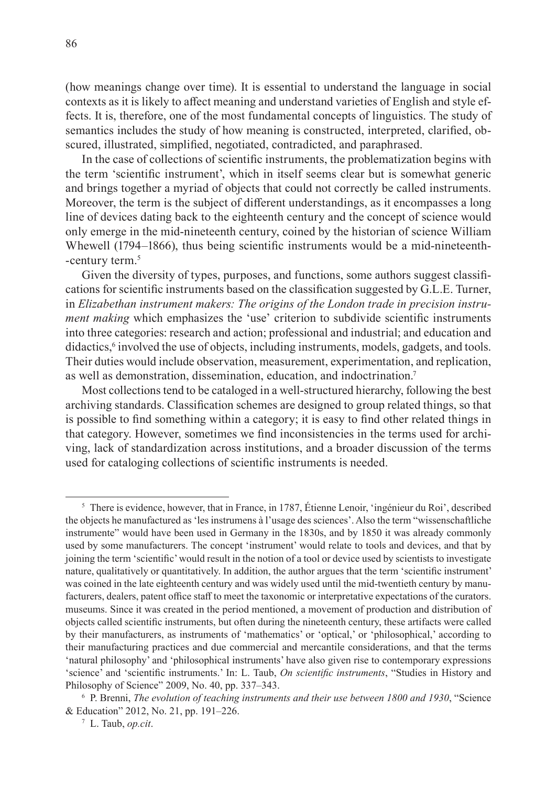(how meanings change over time). It is essential to understand the language in social contexts as it is likely to affect meaning and understand varieties of English and style effects. It is, therefore, one of the most fundamental concepts of linguistics. The study of semantics includes the study of how meaning is constructed, interpreted, clarified, obscured, illustrated, simplified, negotiated, contradicted, and paraphrased.

In the case of collections of scientific instruments, the problematization begins with the term 'scientific instrument', which in itself seems clear but is somewhat generic and brings together a myriad of objects that could not correctly be called instruments. Moreover, the term is the subject of different understandings, as it encompasses a long line of devices dating back to the eighteenth century and the concept of science would only emerge in the mid-nineteenth century, coined by the historian of science William Whewell (1794–1866), thus being scientific instruments would be a mid-nineteenth--century term.<sup>5</sup>

Given the diversity of types, purposes, and functions, some authors suggest classifications for scientific instruments based on the classification suggested by G.L.E. Turner, in *Elizabethan instrument makers: The origins of the London trade in precision instrument making* which emphasizes the 'use' criterion to subdivide scientific instruments into three categories: research and action; professional and industrial; and education and didactics,<sup>6</sup> involved the use of objects, including instruments, models, gadgets, and tools. Their duties would include observation, measurement, experimentation, and replication, as well as demonstration, dissemination, education, and indoctrination.<sup>7</sup>

Most collections tend to be cataloged in a well-structured hierarchy, following the best archiving standards. Classification schemes are designed to group related things, so that is possible to find something within a category; it is easy to find other related things in that category. However, sometimes we find inconsistencies in the terms used for archiving, lack of standardization across institutions, and a broader discussion of the terms used for cataloging collections of scientific instruments is needed.

<sup>5</sup> There is evidence, however, that in France, in 1787, Étienne Lenoir, 'ingénieur du Roi', described the objects he manufactured as 'les instrumens à l'usage des sciences'. Also the term "wissenschaftliche instrumente" would have been used in Germany in the 1830s, and by 1850 it was already commonly used by some manufacturers. The concept 'instrument' would relate to tools and devices, and that by joining the term 'scientific' would result in the notion of a tool or device used by scientists to investigate nature, qualitatively or quantitatively. In addition, the author argues that the term 'scientific instrument' was coined in the late eighteenth century and was widely used until the mid-twentieth century by manufacturers, dealers, patent office staff to meet the taxonomic or interpretative expectations of the curators. museums. Since it was created in the period mentioned, a movement of production and distribution of objects called scientific instruments, but often during the nineteenth century, these artifacts were called by their manufacturers, as instruments of 'mathematics' or 'optical,' or 'philosophical,' according to their manufacturing practices and due commercial and mercantile considerations, and that the terms 'natural philosophy' and 'philosophical instruments' have also given rise to contemporary expressions 'science' and 'scientific instruments.' In: L. Taub, *On scientific instruments*, "Studies in History and Philosophy of Science" 2009, No. 40, pp. 337–343.

<sup>6</sup> P. Brenni, *The evolution of teaching instruments and their use between 1800 and 1930*, "Science & Education" 2012, No. 21, pp. 191–226.

<sup>7</sup> L. Taub, *op.cit*.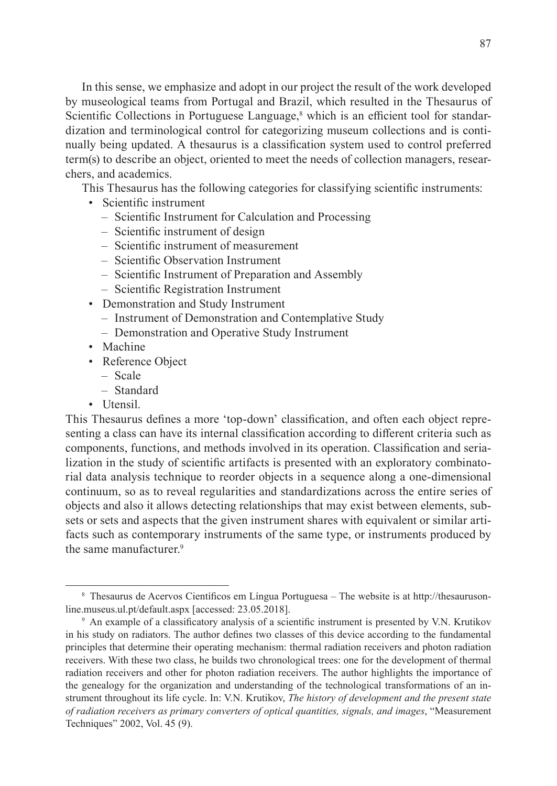87

In this sense, we emphasize and adopt in our project the result of the work developed by museological teams from Portugal and Brazil, which resulted in the Thesaurus of Scientific Collections in Portuguese Language,<sup>8</sup> which is an efficient tool for standardization and terminological control for categorizing museum collections and is continually being updated. A thesaurus is a classification system used to control preferred term(s) to describe an object, oriented to meet the needs of collection managers, researchers, and academics.

This Thesaurus has the following categories for classifying scientific instruments:

- Scientific instrument
	- Scientific Instrument for Calculation and Processing
	- Scientific instrument of design
	- Scientific instrument of measurement
	- Scientific Observation Instrument
	- Scientific Instrument of Preparation and Assembly
	- Scientific Registration Instrument
- Demonstration and Study Instrument
	- Instrument of Demonstration and Contemplative Study
	- Demonstration and Operative Study Instrument
- Machine
- Reference Object
	- Scale
	- Standard
- Utensil.

This Thesaurus defines a more 'top-down' classification, and often each object representing a class can have its internal classification according to different criteria such as components, functions, and methods involved in its operation. Classification and serialization in the study of scientific artifacts is presented with an exploratory combinatorial data analysis technique to reorder objects in a sequence along a one-dimensional continuum, so as to reveal regularities and standardizations across the entire series of objects and also it allows detecting relationships that may exist between elements, subsets or sets and aspects that the given instrument shares with equivalent or similar artifacts such as contemporary instruments of the same type, or instruments produced by the same manufacturer.<sup>9</sup>

<sup>&</sup>lt;sup>8</sup> Thesaurus de Acervos Científicos em Língua Portuguesa – The website is at http://thesaurusonline.museus.ul.pt/default.aspx [accessed: 23.05.2018].

<sup>9</sup> An example of a classificatory analysis of a scientific instrument is presented by V.N. Krutikov in his study on radiators. The author defines two classes of this device according to the fundamental principles that determine their operating mechanism: thermal radiation receivers and photon radiation receivers. With these two class, he builds two chronological trees: one for the development of thermal radiation receivers and other for photon radiation receivers. The author highlights the importance of the genealogy for the organization and understanding of the technological transformations of an instrument throughout its life cycle. In: V.N. Krutikov, *The history of development and the present state of radiation receivers as primary converters of optical quantities, signals, and images*, "Measurement Techniques" 2002, Vol. 45 (9).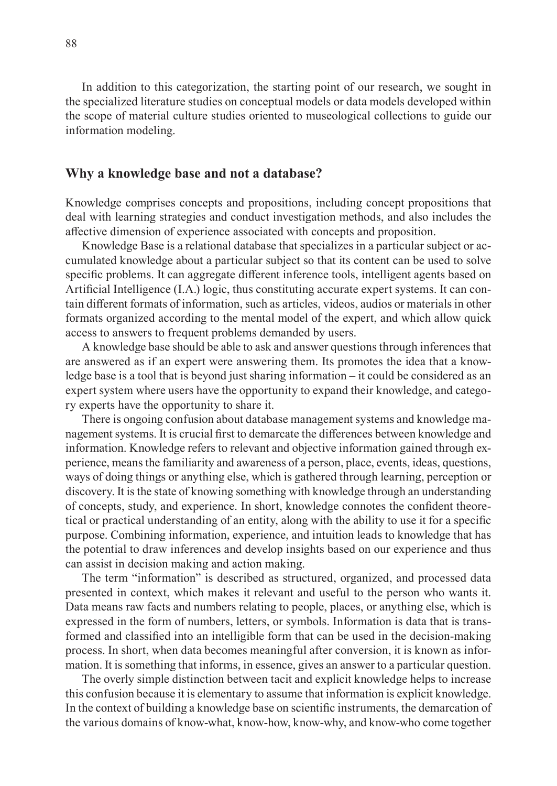In addition to this categorization, the starting point of our research, we sought in the specialized literature studies on conceptual models or data models developed within the scope of material culture studies oriented to museological collections to guide our information modeling.

#### **Why a knowledge base and not a database?**

Knowledge comprises concepts and propositions, including concept propositions that deal with learning strategies and conduct investigation methods, and also includes the affective dimension of experience associated with concepts and proposition.

Knowledge Base is a relational database that specializes in a particular subject or accumulated knowledge about a particular subject so that its content can be used to solve specific problems. It can aggregate different inference tools, intelligent agents based on Artificial Intelligence (I.A.) logic, thus constituting accurate expert systems. It can contain different formats of information, such as articles, videos, audios or materials in other formats organized according to the mental model of the expert, and which allow quick access to answers to frequent problems demanded by users.

A knowledge base should be able to ask and answer questions through inferences that are answered as if an expert were answering them. Its promotes the idea that a knowledge base is a tool that is beyond just sharing information  $-$  it could be considered as an expert system where users have the opportunity to expand their knowledge, and category experts have the opportunity to share it.

There is ongoing confusion about database management systems and knowledge management systems. It is crucial first to demarcate the differences between knowledge and information. Knowledge refers to relevant and objective information gained through experience, means the familiarity and awareness of a person, place, events, ideas, questions, ways of doing things or anything else, which is gathered through learning, perception or discovery. It is the state of knowing something with knowledge through an understanding of concepts, study, and experience. In short, knowledge connotes the confident theoretical or practical understanding of an entity, along with the ability to use it for a specific purpose. Combining information, experience, and intuition leads to knowledge that has the potential to draw inferences and develop insights based on our experience and thus can assist in decision making and action making.

The term "information" is described as structured, organized, and processed data presented in context, which makes it relevant and useful to the person who wants it. Data means raw facts and numbers relating to people, places, or anything else, which is expressed in the form of numbers, letters, or symbols. Information is data that is transformed and classified into an intelligible form that can be used in the decision-making process. In short, when data becomes meaningful after conversion, it is known as information. It is something that informs, in essence, gives an answer to a particular question.

The overly simple distinction between tacit and explicit knowledge helps to increase this confusion because it is elementary to assume that information is explicit knowledge. In the context of building a knowledge base on scientific instruments, the demarcation of the various domains of know-what, know-how, know-why, and know-who come together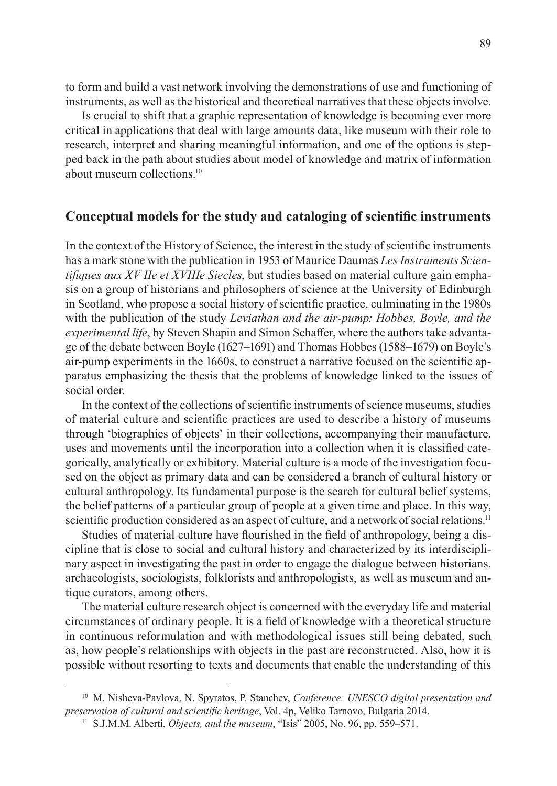to form and build a vast network involving the demonstrations of use and functioning of instruments, as well as the historical and theoretical narratives that these objects involve.

Is crucial to shift that a graphic representation of knowledge is becoming ever more critical in applications that deal with large amounts data, like museum with their role to research, interpret and sharing meaningful information, and one of the options is stepped back in the path about studies about model of knowledge and matrix of information about museum collections<sup>10</sup>

#### **Conceptual models for the study and cataloging of scientific instruments**

In the context of the History of Science, the interest in the study of scientific instruments has a mark stone with the publication in 1953 of Maurice Daumas *Les Instruments Scientifiques aux XV IIe et XVIIIe Siecles*, but studies based on material culture gain emphasis on a group of historians and philosophers of science at the University of Edinburgh in Scotland, who propose a social history of scientific practice, culminating in the 1980s with the publication of the study *Leviathan and the air-pump: Hobbes, Boyle, and the experimental life*, by Steven Shapin and Simon Schaffer, where the authors take advantage of the debate between Boyle (1627‒1691) and Thomas Hobbes (1588‒1679) on Boyle's air-pump experiments in the 1660s, to construct a narrative focused on the scientific apparatus emphasizing the thesis that the problems of knowledge linked to the issues of social order.

In the context of the collections of scientific instruments of science museums, studies of material culture and scientific practices are used to describe a history of museums through 'biographies of objects' in their collections, accompanying their manufacture, uses and movements until the incorporation into a collection when it is classified categorically, analytically or exhibitory. Material culture is a mode of the investigation focused on the object as primary data and can be considered a branch of cultural history or cultural anthropology. Its fundamental purpose is the search for cultural belief systems, the belief patterns of a particular group of people at a given time and place. In this way, scientific production considered as an aspect of culture, and a network of social relations.<sup>11</sup>

Studies of material culture have flourished in the field of anthropology, being a discipline that is close to social and cultural history and characterized by its interdisciplinary aspect in investigating the past in order to engage the dialogue between historians, archaeologists, sociologists, folklorists and anthropologists, as well as museum and antique curators, among others.

The material culture research object is concerned with the everyday life and material circumstances of ordinary people. It is a field of knowledge with a theoretical structure in continuous reformulation and with methodological issues still being debated, such as, how people's relationships with objects in the past are reconstructed. Also, how it is possible without resorting to texts and documents that enable the understanding of this

<sup>10</sup> M. Nisheva-Pavlova, N. Spyratos, P. Stanchev, *Conference: UNESCO digital presentation and preservation of cultural and scientific heritage*, Vol. 4p, Veliko Tarnovo, Bulgaria 2014.

<sup>&</sup>lt;sup>11</sup> S.J.M.M. Alberti, *Objects, and the museum*, "Isis" 2005, No. 96, pp. 559–571.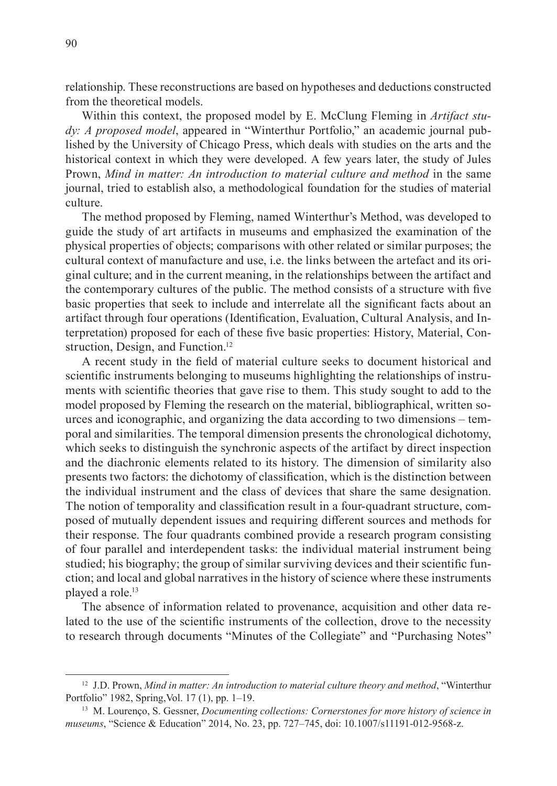relationship. These reconstructions are based on hypotheses and deductions constructed from the theoretical models.

Within this context, the proposed model by E. McClung Fleming in *Artifact study: A proposed model*, appeared in "Winterthur Portfolio," an academic journal published by the University of Chicago Press, which deals with studies on the arts and the historical context in which they were developed. A few years later, the study of Jules Prown, *Mind in matter: An introduction to material culture and method* in the same journal, tried to establish also, a methodological foundation for the studies of material culture.

The method proposed by Fleming, named Winterthur's Method, was developed to guide the study of art artifacts in museums and emphasized the examination of the physical properties of objects; comparisons with other related or similar purposes; the cultural context of manufacture and use, i.e. the links between the artefact and its original culture; and in the current meaning, in the relationships between the artifact and the contemporary cultures of the public. The method consists of a structure with five basic properties that seek to include and interrelate all the significant facts about an artifact through four operations (Identification, Evaluation, Cultural Analysis, and Interpretation) proposed for each of these five basic properties: History, Material, Construction, Design, and Function.<sup>12</sup>

A recent study in the field of material culture seeks to document historical and scientific instruments belonging to museums highlighting the relationships of instruments with scientific theories that gave rise to them. This study sought to add to the model proposed by Fleming the research on the material, bibliographical, written sources and iconographic, and organizing the data according to two dimensions – temporal and similarities. The temporal dimension presents the chronological dichotomy, which seeks to distinguish the synchronic aspects of the artifact by direct inspection and the diachronic elements related to its history. The dimension of similarity also presents two factors: the dichotomy of classification, which is the distinction between the individual instrument and the class of devices that share the same designation. The notion of temporality and classification result in a four-quadrant structure, composed of mutually dependent issues and requiring different sources and methods for their response. The four quadrants combined provide a research program consisting of four parallel and interdependent tasks: the individual material instrument being studied; his biography; the group of similar surviving devices and their scientific function; and local and global narratives in the history of science where these instruments played a role.<sup>13</sup>

The absence of information related to provenance, acquisition and other data related to the use of the scientific instruments of the collection, drove to the necessity to research through documents "Minutes of the Collegiate" and "Purchasing Notes"

<sup>12</sup> J.D. Prown, *Mind in matter: An introduction to material culture theory and method*, "Winterthur Portfolio" 1982, Spring, Vol. 17 (1), pp. 1–19.

<sup>13</sup> M. Lourenço, S. Gessner, *Documenting collections: Cornerstones for more history of science in museums*, "Science & Education" 2014, No. 23, pp. 727–745, doi: 10.1007/s11191-012-9568-z.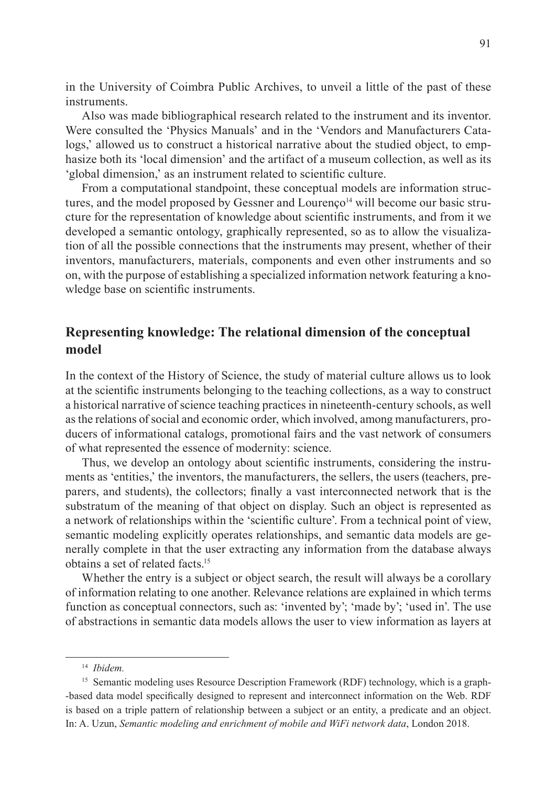in the University of Coimbra Public Archives, to unveil a little of the past of these instruments.

Also was made bibliographical research related to the instrument and its inventor. Were consulted the 'Physics Manuals' and in the 'Vendors and Manufacturers Catalogs,' allowed us to construct a historical narrative about the studied object, to emphasize both its 'local dimension' and the artifact of a museum collection, as well as its 'global dimension,' as an instrument related to scientific culture.

From a computational standpoint, these conceptual models are information structures, and the model proposed by Gessner and Lourenço<sup>14</sup> will become our basic structure for the representation of knowledge about scientific instruments, and from it we developed a semantic ontology, graphically represented, so as to allow the visualization of all the possible connections that the instruments may present, whether of their inventors, manufacturers, materials, components and even other instruments and so on, with the purpose of establishing a specialized information network featuring a knowledge base on scientific instruments.

### **Representing knowledge: The relational dimension of the conceptual model**

In the context of the History of Science, the study of material culture allows us to look at the scientific instruments belonging to the teaching collections, as a way to construct a historical narrative of science teaching practices in nineteenth-century schools, as well as the relations of social and economic order, which involved, among manufacturers, producers of informational catalogs, promotional fairs and the vast network of consumers of what represented the essence of modernity: science.

Thus, we develop an ontology about scientific instruments, considering the instruments as 'entities,' the inventors, the manufacturers, the sellers, the users (teachers, preparers, and students), the collectors; finally a vast interconnected network that is the substratum of the meaning of that object on display. Such an object is represented as a network of relationships within the 'scientific culture'. From a technical point of view, semantic modeling explicitly operates relationships, and semantic data models are generally complete in that the user extracting any information from the database always obtains a set of related facts.<sup>15</sup>

Whether the entry is a subject or object search, the result will always be a corollary of information relating to one another. Relevance relations are explained in which terms function as conceptual connectors, such as: 'invented by'; 'made by'; 'used in'. The use of abstractions in semantic data models allows the user to view information as layers at

<sup>14</sup> *Ibidem.*

<sup>&</sup>lt;sup>15</sup> Semantic modeling uses Resource Description Framework (RDF) technology, which is a graph--based data model specifically designed to represent and interconnect information on the Web. RDF is based on a triple pattern of relationship between a subject or an entity, a predicate and an object. In: A. Uzun, *Semantic modeling and enrichment of mobile and WiFi network data*, London 2018.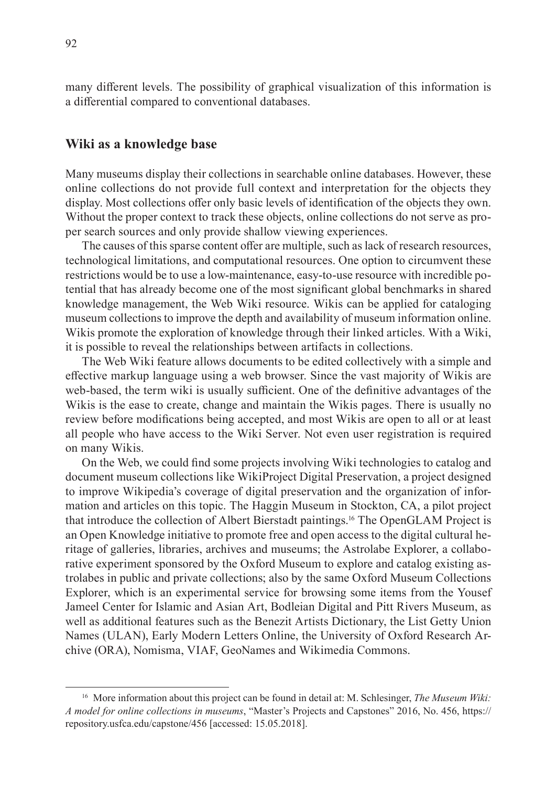many different levels. The possibility of graphical visualization of this information is a differential compared to conventional databases.

#### **Wiki as a knowledge base**

Many museums display their collections in searchable online databases. However, these online collections do not provide full context and interpretation for the objects they display. Most collections offer only basic levels of identification of the objects they own. Without the proper context to track these objects, online collections do not serve as proper search sources and only provide shallow viewing experiences.

The causes of this sparse content offer are multiple, such as lack of research resources, technological limitations, and computational resources. One option to circumvent these restrictions would be to use a low-maintenance, easy-to-use resource with incredible potential that has already become one of the most significant global benchmarks in shared knowledge management, the Web Wiki resource. Wikis can be applied for cataloging museum collections to improve the depth and availability of museum information online. Wikis promote the exploration of knowledge through their linked articles. With a Wiki, it is possible to reveal the relationships between artifacts in collections.

The Web Wiki feature allows documents to be edited collectively with a simple and effective markup language using a web browser. Since the vast majority of Wikis are web-based, the term wiki is usually sufficient. One of the definitive advantages of the Wikis is the ease to create, change and maintain the Wikis pages. There is usually no review before modifications being accepted, and most Wikis are open to all or at least all people who have access to the Wiki Server. Not even user registration is required on many Wikis.

On the Web, we could find some projects involving Wiki technologies to catalog and document museum collections like WikiProject Digital Preservation, a project designed to improve Wikipedia's coverage of digital preservation and the organization of information and articles on this topic. The Haggin Museum in Stockton, CA, a pilot project that introduce the collection of Albert Bierstadt paintings.16 The OpenGLAM Project is an Open Knowledge initiative to promote free and open access to the digital cultural heritage of galleries, libraries, archives and museums; the Astrolabe Explorer, a collaborative experiment sponsored by the Oxford Museum to explore and catalog existing astrolabes in public and private collections; also by the same Oxford Museum Collections Explorer, which is an experimental service for browsing some items from the Yousef Jameel Center for Islamic and Asian Art, Bodleian Digital and Pitt Rivers Museum, as well as additional features such as the Benezit Artists Dictionary, the List Getty Union Names (ULAN), Early Modern Letters Online, the University of Oxford Research Archive (ORA), Nomisma, VIAF, GeoNames and Wikimedia Commons.

<sup>16</sup> More information about this project can be found in detail at: M. Schlesinger, *The Museum Wiki: A model for online collections in museums*, "Master's Projects and Capstones" 2016, No. 456, https:// repository.usfca.edu/capstone/456 [accessed: 15.05.2018].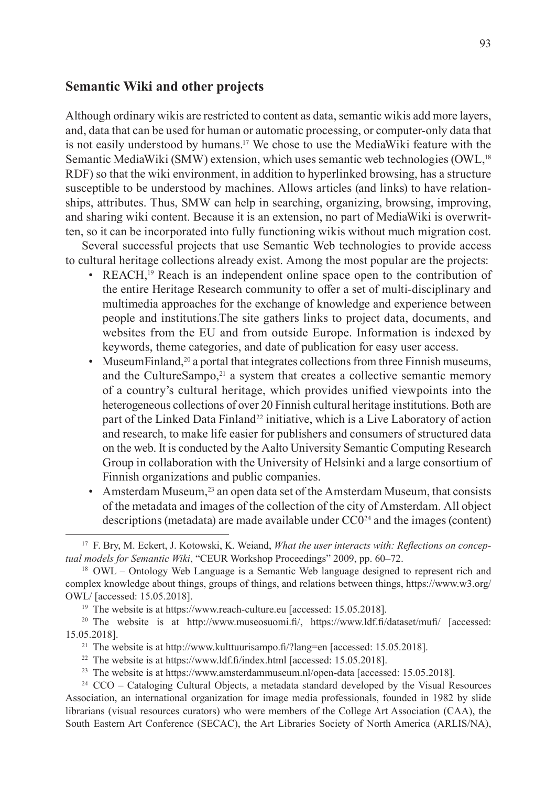### **Semantic Wiki and other projects**

Although ordinary wikis are restricted to content as data, semantic wikis add more layers, and, data that can be used for human or automatic processing, or computer-only data that is not easily understood by humans.<sup>17</sup> We chose to use the MediaWiki feature with the Semantic MediaWiki (SMW) extension, which uses semantic web technologies (OWL,<sup>18</sup> RDF) so that the wiki environment, in addition to hyperlinked browsing, has a structure susceptible to be understood by machines. Allows articles (and links) to have relationships, attributes. Thus, SMW can help in searching, organizing, browsing, improving, and sharing wiki content. Because it is an extension, no part of MediaWiki is overwritten, so it can be incorporated into fully functioning wikis without much migration cost.

Several successful projects that use Semantic Web technologies to provide access to cultural heritage collections already exist. Among the most popular are the projects:

- REACH,<sup>19</sup> Reach is an independent online space open to the contribution of the entire Heritage Research community to offer a set of multi-disciplinary and multimedia approaches for the exchange of knowledge and experience between people and institutions.The site gathers links to project data, documents, and websites from the EU and from outside Europe. Information is indexed by keywords, theme categories, and date of publication for easy user access.
- MuseumFinland,20 a portal that integrates collections from three Finnish museums, and the CultureSampo, $21$  a system that creates a collective semantic memory of a country's cultural heritage, which provides unified viewpoints into the heterogeneous collections of over 20 Finnish cultural heritage institutions. Both are part of the Linked Data Finland<sup>22</sup> initiative, which is a Live Laboratory of action and research, to make life easier for publishers and consumers of structured data on the web. It is conducted by the Aalto University Semantic Computing Research Group in collaboration with the University of Helsinki and a large consortium of Finnish organizations and public companies.
- Amsterdam Museum,<sup>23</sup> an open data set of the Amsterdam Museum, that consists of the metadata and images of the collection of the city of Amsterdam. All object descriptions (metadata) are made available under  $CC0<sup>24</sup>$  and the images (content)

<sup>17</sup> F. Bry, M. Eckert, J. Kotowski, K. Weiand, *What the user interacts with: Reflections on conceptual models for Semantic Wiki*, "CEUR Workshop Proceedings" 2009, pp. 60–72.

<sup>&</sup>lt;sup>18</sup> OWL – Ontology Web Language is a Semantic Web language designed to represent rich and complex knowledge about things, groups of things, and relations between things, https://www.w3.org/ OWL/ [accessed: 15.05.2018].

<sup>&</sup>lt;sup>19</sup> The website is at https://www.reach-culture.eu [accessed: 15.05.2018].

<sup>&</sup>lt;sup>20</sup> The website is at http://www.museosuomi.fi/, https://www.ldf.fi/dataset/mufi/ [accessed: 15.05.2018].

<sup>&</sup>lt;sup>21</sup> The website is at http://www.kulttuurisampo.fi/?lang=en [accessed: 15.05.2018].

<sup>&</sup>lt;sup>22</sup> The website is at https://www.ldf.fi/index.html [accessed: 15.05.2018].

<sup>&</sup>lt;sup>23</sup> The website is at https://www.amsterdammuseum.nl/open-data [accessed: 15.05.2018].

<sup>&</sup>lt;sup>24</sup> CCO – Cataloging Cultural Objects, a metadata standard developed by the Visual Resources Association, an international organization for image media professionals, founded in 1982 by slide librarians (visual resources curators) who were members of the College Art Association (CAA), the South Eastern Art Conference (SECAC), the Art Libraries Society of North America (ARLIS/NA),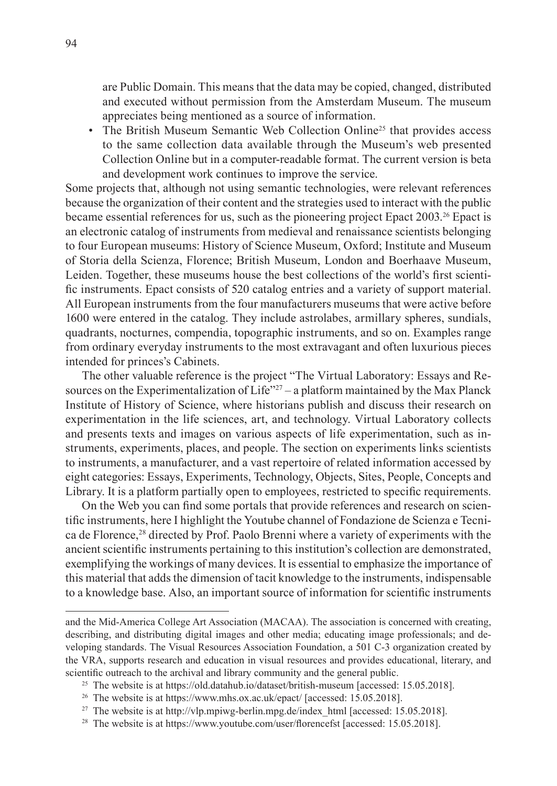are Public Domain. This means that the data may be copied, changed, distributed and executed without permission from the Amsterdam Museum. The museum appreciates being mentioned as a source of information.

• The British Museum Semantic Web Collection Online<sup>25</sup> that provides access to the same collection data available through the Museum's web presented Collection Online but in a computer-readable format. The current version is beta and development work continues to improve the service.

Some projects that, although not using semantic technologies, were relevant references because the organization of their content and the strategies used to interact with the public became essential references for us, such as the pioneering project Epact 2003.26 Epact is an electronic catalog of instruments from medieval and renaissance scientists belonging to four European museums: History of Science Museum, Oxford; Institute and Museum of Storia della Scienza, Florence; British Museum, London and Boerhaave Museum, Leiden. Together, these museums house the best collections of the world's first scientific instruments. Epact consists of 520 catalog entries and a variety of support material. All European instruments from the four manufacturers museums that were active before 1600 were entered in the catalog. They include astrolabes, armillary spheres, sundials, quadrants, nocturnes, compendia, topographic instruments, and so on. Examples range from ordinary everyday instruments to the most extravagant and often luxurious pieces intended for princes's Cabinets.

The other valuable reference is the project "The Virtual Laboratory: Essays and Resources on the Experimentalization of Life $^{27}$  – a platform maintained by the Max Planck Institute of History of Science, where historians publish and discuss their research on experimentation in the life sciences, art, and technology. Virtual Laboratory collects and presents texts and images on various aspects of life experimentation, such as instruments, experiments, places, and people. The section on experiments links scientists to instruments, a manufacturer, and a vast repertoire of related information accessed by eight categories: Essays, Experiments, Technology, Objects, Sites, People, Concepts and Library. It is a platform partially open to employees, restricted to specific requirements.

On the Web you can find some portals that provide references and research on scientific instruments, here I highlight the Youtube channel of Fondazione de Scienza e Tecnica de Florence,<sup>28</sup> directed by Prof. Paolo Brenni where a variety of experiments with the ancient scientific instruments pertaining to this institution's collection are demonstrated, exemplifying the workings of many devices. It is essential to emphasize the importance of this material that adds the dimension of tacit knowledge to the instruments, indispensable to a knowledge base. Also, an important source of information for scientific instruments

and the Mid-America College Art Association (MACAA). The association is concerned with creating, describing, and distributing digital images and other media; educating image professionals; and developing standards. The Visual Resources Association Foundation, a 501 C-3 organization created by the VRA, supports research and education in visual resources and provides educational, literary, and scientific outreach to the archival and library community and the general public.

<sup>&</sup>lt;sup>25</sup> The website is at https://old.datahub.io/dataset/british-museum [accessed: 15.05.2018].

<sup>&</sup>lt;sup>26</sup> The website is at https://www.mhs.ox.ac.uk/epact/ [accessed: 15.05.2018].

<sup>&</sup>lt;sup>27</sup> The website is at http://vlp.mpiwg-berlin.mpg.de/index\_html [accessed: 15.05.2018].

<sup>&</sup>lt;sup>28</sup> The website is at https://www.youtube.com/user/florencefst [accessed: 15.05.2018].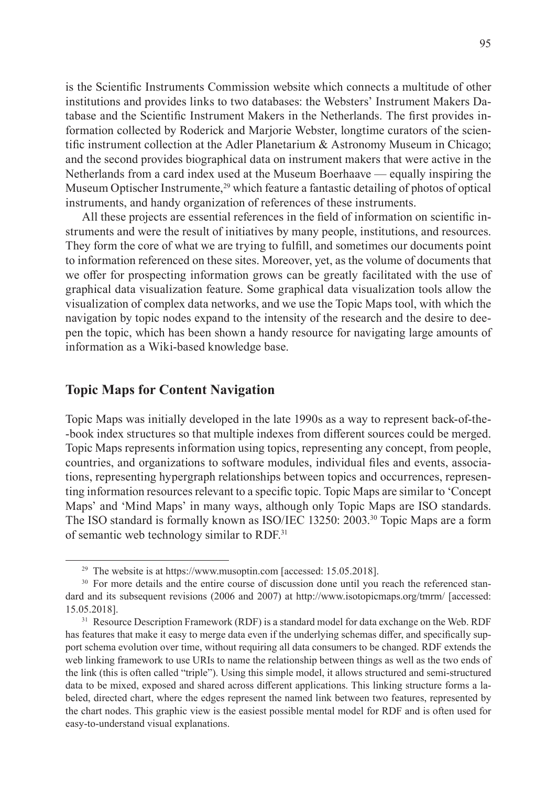is the Scientific Instruments Commission website which connects a multitude of other institutions and provides links to two databases: the Websters' Instrument Makers Database and the Scientific Instrument Makers in the Netherlands. The first provides information collected by Roderick and Marjorie Webster, longtime curators of the scientific instrument collection at the Adler Planetarium & Astronomy Museum in Chicago; and the second provides biographical data on instrument makers that were active in the Netherlands from a card index used at the Museum Boerhaave — equally inspiring the Museum Optischer Instrumente,<sup>29</sup> which feature a fantastic detailing of photos of optical instruments, and handy organization of references of these instruments.

All these projects are essential references in the field of information on scientific instruments and were the result of initiatives by many people, institutions, and resources. They form the core of what we are trying to fulfill, and sometimes our documents point to information referenced on these sites. Moreover, yet, as the volume of documents that we offer for prospecting information grows can be greatly facilitated with the use of graphical data visualization feature. Some graphical data visualization tools allow the visualization of complex data networks, and we use the Topic Maps tool, with which the navigation by topic nodes expand to the intensity of the research and the desire to deepen the topic, which has been shown a handy resource for navigating large amounts of information as a Wiki-based knowledge base.

### **Topic Maps for Content Navigation**

Topic Maps was initially developed in the late 1990s as a way to represent back-of-the- -book index structures so that multiple indexes from different sources could be merged. Topic Maps represents information using topics, representing any concept, from people, countries, and organizations to software modules, individual files and events, associations, representing hypergraph relationships between topics and occurrences, representing information resources relevant to a specific topic. Topic Maps are similar to 'Concept Maps' and 'Mind Maps' in many ways, although only Topic Maps are ISO standards. The ISO standard is formally known as ISO/IEC 13250: 2003.<sup>30</sup> Topic Maps are a form of semantic web technology similar to RDF.<sup>31</sup>

<sup>&</sup>lt;sup>29</sup> The website is at https://www.musoptin.com [accessed: 15.05.2018].

<sup>&</sup>lt;sup>30</sup> For more details and the entire course of discussion done until you reach the referenced standard and its subsequent revisions (2006 and 2007) at http://www.isotopicmaps.org/tmrm/ [accessed: 15.05.2018].

<sup>&</sup>lt;sup>31</sup> Resource Description Framework (RDF) is a standard model for data exchange on the Web. RDF has features that make it easy to merge data even if the underlying schemas differ, and specifically support schema evolution over time, without requiring all data consumers to be changed. RDF extends the web linking framework to use URIs to name the relationship between things as well as the two ends of the link (this is often called "triple"). Using this simple model, it allows structured and semi-structured data to be mixed, exposed and shared across different applications. This linking structure forms a labeled, directed chart, where the edges represent the named link between two features, represented by the chart nodes. This graphic view is the easiest possible mental model for RDF and is often used for easy-to-understand visual explanations.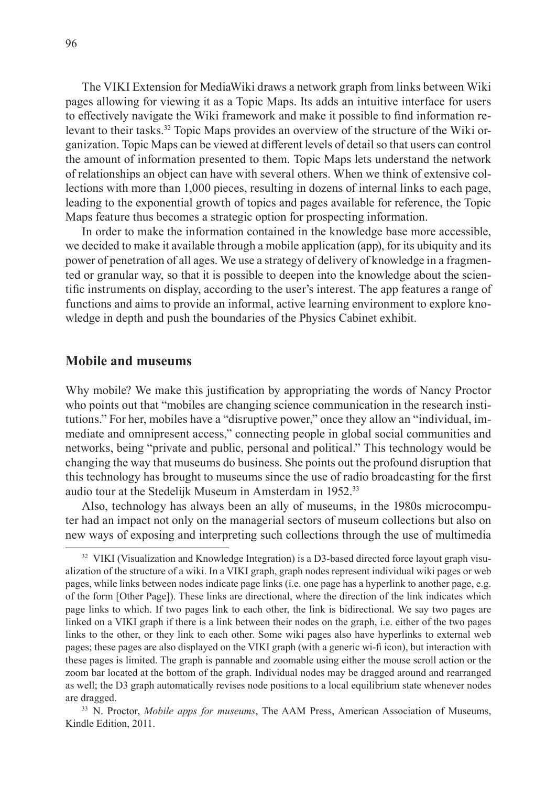The VIKI Extension for MediaWiki draws a network graph from links between Wiki pages allowing for viewing it as a Topic Maps. Its adds an intuitive interface for users to effectively navigate the Wiki framework and make it possible to find information relevant to their tasks.32 Topic Maps provides an overview of the structure of the Wiki organization. Topic Maps can be viewed at different levels of detail so that users can control the amount of information presented to them. Topic Maps lets understand the network of relationships an object can have with several others. When we think of extensive collections with more than 1,000 pieces, resulting in dozens of internal links to each page, leading to the exponential growth of topics and pages available for reference, the Topic Maps feature thus becomes a strategic option for prospecting information.

In order to make the information contained in the knowledge base more accessible, we decided to make it available through a mobile application (app), for its ubiquity and its power of penetration of all ages. We use a strategy of delivery of knowledge in a fragmented or granular way, so that it is possible to deepen into the knowledge about the scientific instruments on display, according to the user's interest. The app features a range of functions and aims to provide an informal, active learning environment to explore knowledge in depth and push the boundaries of the Physics Cabinet exhibit.

#### **Mobile and museums**

Why mobile? We make this justification by appropriating the words of Nancy Proctor who points out that "mobiles are changing science communication in the research institutions." For her, mobiles have a "disruptive power," once they allow an "individual, immediate and omnipresent access," connecting people in global social communities and networks, being "private and public, personal and political." This technology would be changing the way that museums do business. She points out the profound disruption that this technology has brought to museums since the use of radio broadcasting for the first audio tour at the Stedelijk Museum in Amsterdam in 1952.<sup>33</sup>

Also, technology has always been an ally of museums, in the 1980s microcomputer had an impact not only on the managerial sectors of museum collections but also on new ways of exposing and interpreting such collections through the use of multimedia

<sup>&</sup>lt;sup>32</sup> VIKI (Visualization and Knowledge Integration) is a D3-based directed force layout graph visualization of the structure of a wiki. In a VIKI graph, graph nodes represent individual wiki pages or web pages, while links between nodes indicate page links (i.e. one page has a hyperlink to another page, e.g. of the form [Other Page]). These links are directional, where the direction of the link indicates which page links to which. If two pages link to each other, the link is bidirectional. We say two pages are linked on a VIKI graph if there is a link between their nodes on the graph, i.e. either of the two pages links to the other, or they link to each other. Some wiki pages also have hyperlinks to external web pages; these pages are also displayed on the VIKI graph (with a generic wi-fi icon), but interaction with these pages is limited. The graph is pannable and zoomable using either the mouse scroll action or the zoom bar located at the bottom of the graph. Individual nodes may be dragged around and rearranged as well; the D3 graph automatically revises node positions to a local equilibrium state whenever nodes are dragged.

<sup>33</sup> N. Proctor, *Mobile apps for museums*, The AAM Press, American Association of Museums, Kindle Edition, 2011.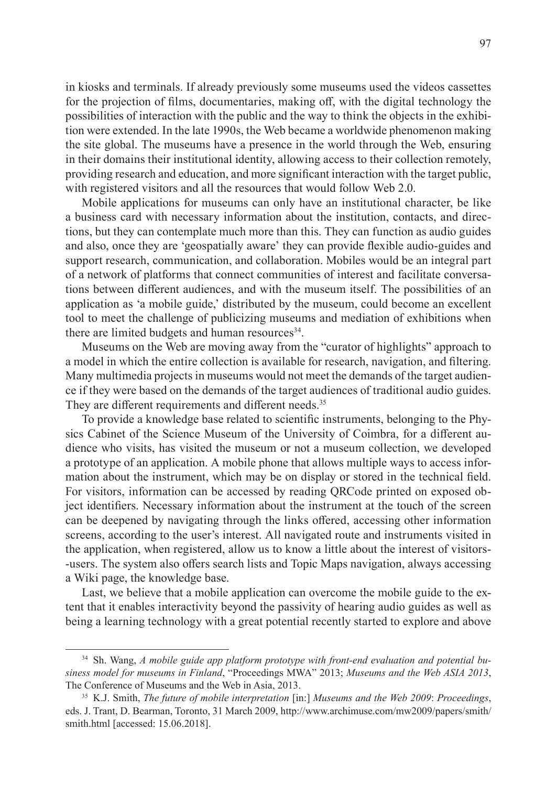in kiosks and terminals. If already previously some museums used the videos cassettes for the projection of films, documentaries, making off, with the digital technology the possibilities of interaction with the public and the way to think the objects in the exhibition were extended. In the late 1990s, the Web became a worldwide phenomenon making the site global. The museums have a presence in the world through the Web, ensuring in their domains their institutional identity, allowing access to their collection remotely, providing research and education, and more significant interaction with the target public, with registered visitors and all the resources that would follow Web 2.0.

Mobile applications for museums can only have an institutional character, be like a business card with necessary information about the institution, contacts, and directions, but they can contemplate much more than this. They can function as audio guides and also, once they are 'geospatially aware' they can provide flexible audio-guides and support research, communication, and collaboration. Mobiles would be an integral part of a network of platforms that connect communities of interest and facilitate conversations between different audiences, and with the museum itself. The possibilities of an application as 'a mobile guide,' distributed by the museum, could become an excellent tool to meet the challenge of publicizing museums and mediation of exhibitions when there are limited budgets and human resources<sup>34</sup>.

Museums on the Web are moving away from the "curator of highlights" approach to a model in which the entire collection is available for research, navigation, and filtering. Many multimedia projects in museums would not meet the demands of the target audience if they were based on the demands of the target audiences of traditional audio guides. They are different requirements and different needs.<sup>35</sup>

To provide a knowledge base related to scientific instruments, belonging to the Physics Cabinet of the Science Museum of the University of Coimbra, for a different audience who visits, has visited the museum or not a museum collection, we developed a prototype of an application. A mobile phone that allows multiple ways to access information about the instrument, which may be on display or stored in the technical field. For visitors, information can be accessed by reading QRCode printed on exposed object identifiers. Necessary information about the instrument at the touch of the screen can be deepened by navigating through the links offered, accessing other information screens, according to the user's interest. All navigated route and instruments visited in the application, when registered, allow us to know a little about the interest of visitors- -users. The system also offers search lists and Topic Maps navigation, always accessing a Wiki page, the knowledge base.

Last, we believe that a mobile application can overcome the mobile guide to the extent that it enables interactivity beyond the passivity of hearing audio guides as well as being a learning technology with a great potential recently started to explore and above

<sup>34</sup> Sh. Wang, *A mobile guide app platform prototype with front-end evaluation and potential business model for museums in Finland*, "Proceedings MWA" 2013; *Museums and the Web ASIA 2013*, The Conference of Museums and the Web in Asia, 2013.

<sup>35</sup> K.J. Smith, *The future of mobile interpretation* [in:] *Museums and the Web 2009*: *Proceedings*, eds. J. Trant, D. Bearman, Toronto, 31 March 2009, http://www.archimuse.com/mw2009/papers/smith/ smith.html [accessed: 15.06.2018].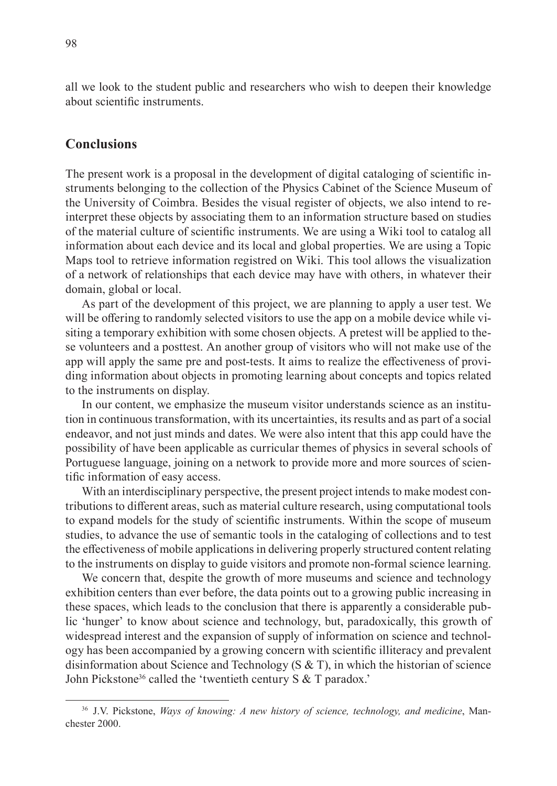all we look to the student public and researchers who wish to deepen their knowledge about scientific instruments.

### **Conclusions**

The present work is a proposal in the development of digital cataloging of scientific instruments belonging to the collection of the Physics Cabinet of the Science Museum of the University of Coimbra. Besides the visual register of objects, we also intend to reinterpret these objects by associating them to an information structure based on studies of the material culture of scientific instruments. We are using a Wiki tool to catalog all information about each device and its local and global properties. We are using a Topic Maps tool to retrieve information registred on Wiki. This tool allows the visualization of a network of relationships that each device may have with others, in whatever their domain, global or local.

As part of the development of this project, we are planning to apply a user test. We will be offering to randomly selected visitors to use the app on a mobile device while visiting a temporary exhibition with some chosen objects. A pretest will be applied to these volunteers and a posttest. An another group of visitors who will not make use of the app will apply the same pre and post-tests. It aims to realize the effectiveness of providing information about objects in promoting learning about concepts and topics related to the instruments on display.

In our content, we emphasize the museum visitor understands science as an institution in continuous transformation, with its uncertainties, its results and as part of a social endeavor, and not just minds and dates. We were also intent that this app could have the possibility of have been applicable as curricular themes of physics in several schools of Portuguese language, joining on a network to provide more and more sources of scientific information of easy access.

With an interdisciplinary perspective, the present project intends to make modest contributions to different areas, such as material culture research, using computational tools to expand models for the study of scientific instruments. Within the scope of museum studies, to advance the use of semantic tools in the cataloging of collections and to test the effectiveness of mobile applications in delivering properly structured content relating to the instruments on display to guide visitors and promote non-formal science learning.

We concern that, despite the growth of more museums and science and technology exhibition centers than ever before, the data points out to a growing public increasing in these spaces, which leads to the conclusion that there is apparently a considerable public 'hunger' to know about science and technology, but, paradoxically, this growth of widespread interest and the expansion of supply of information on science and technology has been accompanied by a growing concern with scientific illiteracy and prevalent disinformation about Science and Technology (S & T), in which the historian of science John Pickstone<sup>36</sup> called the 'twentieth century S & T paradox.'

<sup>36</sup> J.V. Pickstone, *Ways of knowing: A new history of science, technology, and medicine*, Manchester 2000.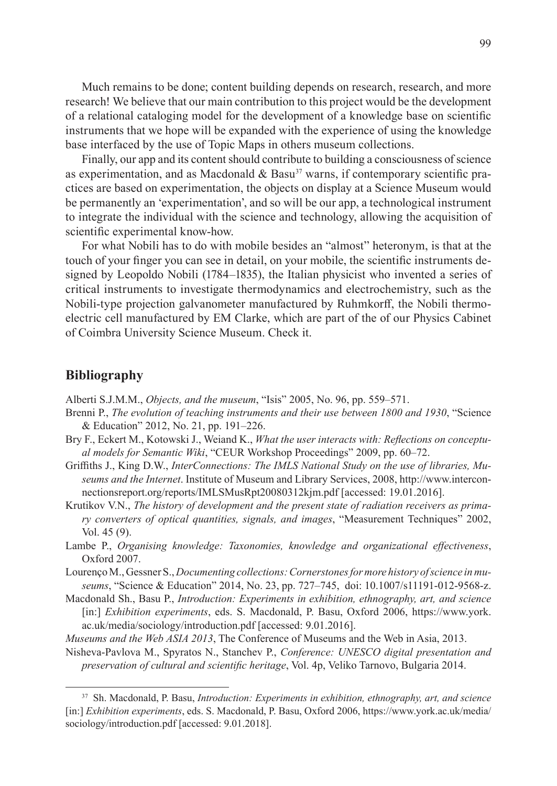Much remains to be done; content building depends on research, research, and more research! We believe that our main contribution to this project would be the development of a relational cataloging model for the development of a knowledge base on scientific instruments that we hope will be expanded with the experience of using the knowledge base interfaced by the use of Topic Maps in others museum collections.

Finally, our app and its content should contribute to building a consciousness of science as experimentation, and as Macdonald  $\&$  Basu<sup>37</sup> warns, if contemporary scientific practices are based on experimentation, the objects on display at a Science Museum would be permanently an 'experimentation', and so will be our app, a technological instrument to integrate the individual with the science and technology, allowing the acquisition of scientific experimental know-how.

For what Nobili has to do with mobile besides an "almost" heteronym, is that at the touch of your finger you can see in detail, on your mobile, the scientific instruments designed by Leopoldo Nobili (1784–1835), the Italian physicist who invented a series of critical instruments to investigate thermodynamics and electrochemistry, such as the Nobili-type projection galvanometer manufactured by Ruhmkorff, the Nobili thermoelectric cell manufactured by EM Clarke, which are part of the of our Physics Cabinet of Coimbra University Science Museum. Check it.

#### **Bibliography**

Alberti S.J.M.M., *Objects, and the museum*, "Isis" 2005, No. 96, pp. 559–571.

- Brenni P., *The evolution of teaching instruments and their use between 1800 and 1930*, "Science & Education" 2012, No. 21, pp. 191–226.
- Bry F., Eckert M., Kotowski J., Weiand K., *What the user interacts with: Reflections on conceptual models for Semantic Wiki*, "CEUR Workshop Proceedings" 2009, pp. 60–72.
- Griffiths J., King D.W., *InterConnections: The IMLS National Study on the use of libraries, Museums and the Internet*. Institute of Museum and Library Services, 2008, http://www.interconnectionsreport.org/reports/IMLSMusRpt20080312kjm.pdf [accessed: 19.01.2016].
- Krutikov V.N., *The history of development and the present state of radiation receivers as primary converters of optical quantities, signals, and images*, "Measurement Techniques" 2002, Vol. 45 (9).
- Lambe P., *Organising knowledge: Taxonomies, knowledge and organizational effectiveness*, Oxford 2007.
- Lourenço M., Gessner S., *Documenting collections: Cornerstones for more history of science in museums*, "Science & Education" 2014, No. 23, pp. 727–745, doi: 10.1007/s11191-012-9568-z.
- Macdonald Sh., Basu P., *Introduction: Experiments in exhibition, ethnography, art, and science* [in:] *Exhibition experiments*, eds. S. Macdonald, P. Basu, Oxford 2006, https://www.york. ac.uk/media/sociology/introduction.pdf [accessed: 9.01.2016].
- *Museums and the Web ASIA 2013*, The Conference of Museums and the Web in Asia, 2013.
- Nisheva-Pavlova M., Spyratos N., Stanchev P., *Conference: UNESCO digital presentation and preservation of cultural and scientific heritage*, Vol. 4p, Veliko Tarnovo, Bulgaria 2014.

<sup>37</sup> Sh. Macdonald, P. Basu, *Introduction: Experiments in exhibition, ethnography, art, and science* [in:] *Exhibition experiments*, eds. S. Macdonald, P. Basu, Oxford 2006, https://www.york.ac.uk/media/ sociology/introduction.pdf [accessed: 9.01.2018].